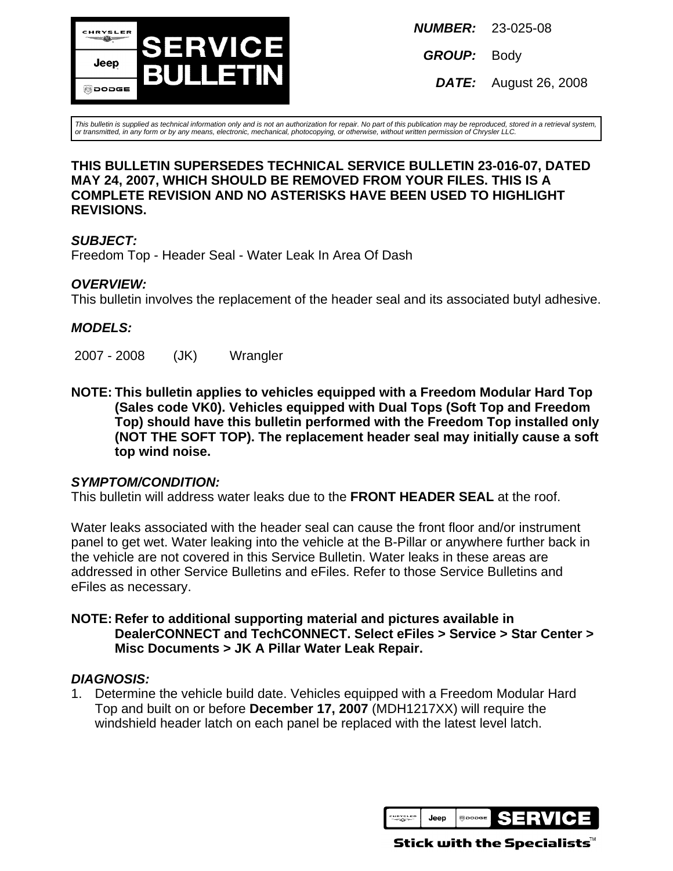

**NUMBER:** 23-025-08

**GROUP:** Body

**DATE:** August 26, 2008

This bulletin is supplied as technical information only and is not an authorization for repair. No part of this publication may be reproduced, stored in a retrieval system, or transmitted, in any form or by any means, electronic, mechanical, photocopying, or otherwise, without written permission of Chrysler LLC.

### **THIS BULLETIN SUPERSEDES TECHNICAL SERVICE BULLETIN 23-016-07, DATED MAY 24, 2007, WHICH SHOULD BE REMOVED FROM YOUR FILES. THIS IS A COMPLETE REVISION AND NO ASTERISKS HAVE BEEN USED TO HIGHLIGHT REVISIONS.**

## **SUBJECT:**

Freedom Top - Header Seal - Water Leak In Area Of Dash

## **OVERVIEW:**

This bulletin involves the replacement of the header seal and its associated butyl adhesive.

## **MODELS:**

2007 - 2008 (JK) Wrangler

**NOTE: This bulletin applies to vehicles equipped with a Freedom Modular Hard Top (Sales code VK0). Vehicles equipped with Dual Tops (Soft Top and Freedom Top) should have this bulletin performed with the Freedom Top installed only (NOT THE SOFT TOP). The replacement header seal may initially cause a soft top wind noise.**

### **SYMPTOM/CONDITION:**

This bulletin will address water leaks due to the **FRONT HEADER SEAL** at the roof.

Water leaks associated with the header seal can cause the front floor and/or instrument panel to get wet. Water leaking into the vehicle at the B-Pillar or anywhere further back in the vehicle are not covered in this Service Bulletin. Water leaks in these areas are addressed in other Service Bulletins and eFiles. Refer to those Service Bulletins and eFiles as necessary.

### **NOTE: Refer to additional supporting material and pictures available in DealerCONNECT and TechCONNECT. Select eFiles > Service > Star Center > Misc Documents > JK A Pillar Water Leak Repair.**

### **DIAGNOSIS:**

1. Determine the vehicle build date. Vehicles equipped with a Freedom Modular Hard Top and built on or before **December 17, 2007** (MDH1217XX) will require the windshield header latch on each panel be replaced with the latest level latch.



Stick with the Specialists $^{\!\scriptscriptstyle\mathsf{w}}$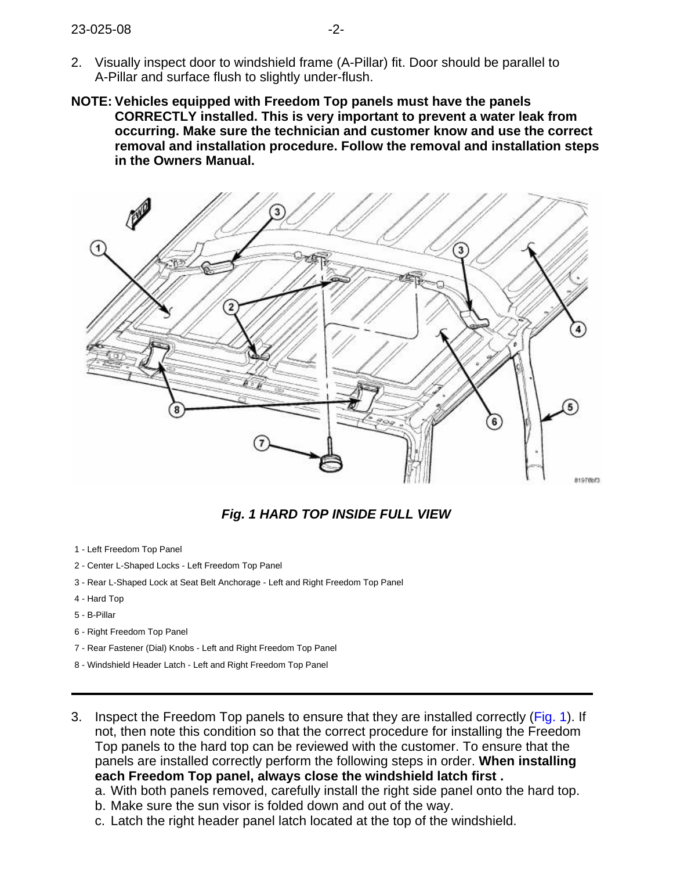- 2. Visually inspect door to windshield frame (A-Pillar) fit. Door should be parallel to A-Pillar and surface flush to slightly under-flush.
- **NOTE: Vehicles equipped with Freedom Top panels must have the panels CORRECTLY installed. This is very important to prevent a water leak from occurring. Make sure the technician and customer know and use the correct removal and installation procedure. Follow the removal and installation steps in the Owners Manual.**

<span id="page-1-0"></span>

**Fig. 1 HARD TOP INSIDE FULL VIEW**

- 1 Left Freedom Top Panel
- 2 Center L-Shaped Locks Left Freedom Top Panel
- 3 Rear L-Shaped Lock at Seat Belt Anchorage Left and Right Freedom Top Panel
- 4 Hard Top
- 5 B-Pillar
- 6 Right Freedom Top Panel
- 7 Rear Fastener (Dial) Knobs Left and Right Freedom Top Panel
- 8 Windshield Header Latch Left and Right Freedom Top Panel
- 3. Inspect the Freedom Top panels to ensure that they are installed correctly [\(Fig. 1\)](#page-1-0). If not, then note this condition so that the correct procedure for installing the Freedom Top panels to the hard top can be reviewed with the customer. To ensure that the panels are installed correctly perform the following steps in order. **When installing each Freedom Top panel, always close the windshield latch first .**
	- a. With both panels removed, carefully install the right side panel onto the hard top.
	- b. Make sure the sun visor is folded down and out of the way.
	- c. Latch the right header panel latch located at the top of the windshield.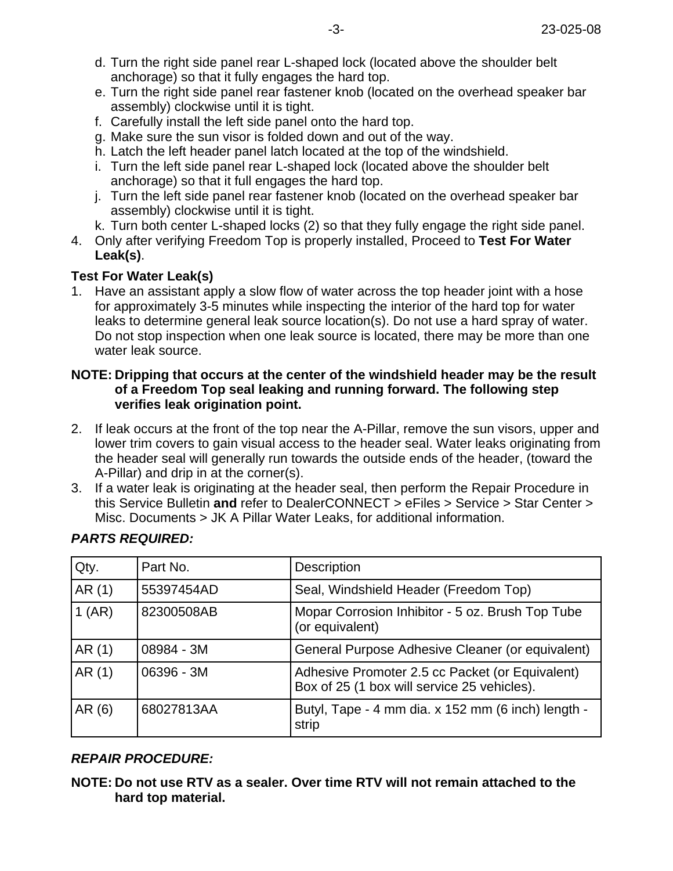- d. Turn the right side panel rear L-shaped lock (located above the shoulder belt anchorage) so that it fully engages the hard top.
- e. Turn the right side panel rear fastener knob (located on the overhead speaker bar assembly) clockwise until it is tight.
- f. Carefully install the left side panel onto the hard top.
- g. Make sure the sun visor is folded down and out of the way.
- h. Latch the left header panel latch located at the top of the windshield.
- i. Turn the left side panel rear L-shaped lock (located above the shoulder belt anchorage) so that it full engages the hard top.
- j. Turn the left side panel rear fastener knob (located on the overhead speaker bar assembly) clockwise until it is tight.
- k. Turn both center L-shaped locks (2) so that they fully engage the right side panel.
- 4. Only after verifying Freedom Top is properly installed, Proceed to **Test For Water Leak(s)**.

## **Test For Water Leak(s)**

1. Have an assistant apply a slow flow of water across the top header joint with a hose for approximately 3-5 minutes while inspecting the interior of the hard top for water leaks to determine general leak source location(s). Do not use a hard spray of water. Do not stop inspection when one leak source is located, there may be more than one water leak source.

### **NOTE: Dripping that occurs at the center of the windshield header may be the result of a Freedom Top seal leaking and running forward. The following step verifies leak origination point.**

- 2. If leak occurs at the front of the top near the A-Pillar, remove the sun visors, upper and lower trim covers to gain visual access to the header seal. Water leaks originating from the header seal will generally run towards the outside ends of the header, (toward the A-Pillar) and drip in at the corner(s).
- 3. If a water leak is originating at the header seal, then perform the Repair Procedure in this Service Bulletin **and** refer to DealerCONNECT > eFiles > Service > Star Center > Misc. Documents > JK A Pillar Water Leaks, for additional information.

| Qty.   | Part No.   | <b>Description</b>                                                                             |
|--------|------------|------------------------------------------------------------------------------------------------|
| AR(1)  | 55397454AD | Seal, Windshield Header (Freedom Top)                                                          |
| 1(AR)  | 82300508AB | Mopar Corrosion Inhibitor - 5 oz. Brush Top Tube<br>(or equivalent)                            |
| AR (1) | 08984 - 3M | General Purpose Adhesive Cleaner (or equivalent)                                               |
| AR(1)  | 06396 - 3M | Adhesive Promoter 2.5 cc Packet (or Equivalent)<br>Box of 25 (1 box will service 25 vehicles). |
| AR (6) | 68027813AA | Butyl, Tape - 4 mm dia. x 152 mm (6 inch) length -<br>strip                                    |

## **PARTS REQUIRED:**

# **REPAIR PROCEDURE:**

**NOTE: Do not use RTV as a sealer. Over time RTV will not remain attached to the hard top material.**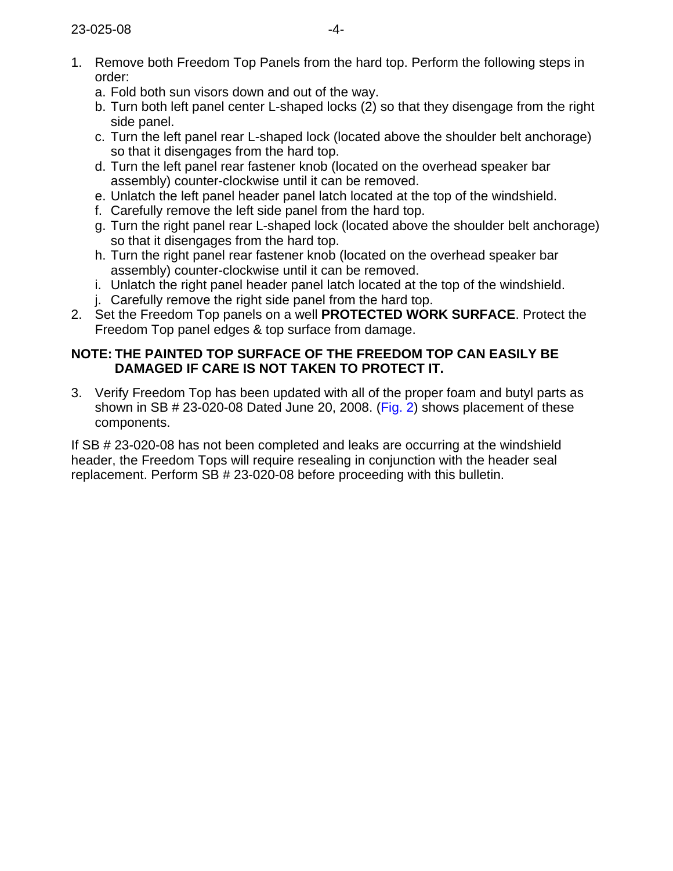- 1. Remove both Freedom Top Panels from the hard top. Perform the following steps in order:
	- a. Fold both sun visors down and out of the way.
	- b. Turn both left panel center L-shaped locks (2) so that they disengage from the right side panel.
	- c. Turn the left panel rear L-shaped lock (located above the shoulder belt anchorage) so that it disengages from the hard top.
	- d. Turn the left panel rear fastener knob (located on the overhead speaker bar assembly) counter-clockwise until it can be removed.
	- e. Unlatch the left panel header panel latch located at the top of the windshield.
	- f. Carefully remove the left side panel from the hard top.
	- g. Turn the right panel rear L-shaped lock (located above the shoulder belt anchorage) so that it disengages from the hard top.
	- h. Turn the right panel rear fastener knob (located on the overhead speaker bar assembly) counter-clockwise until it can be removed.
	- i. Unlatch the right panel header panel latch located at the top of the windshield.
	- j. Carefully remove the right side panel from the hard top.
- 2. Set the Freedom Top panels on a well **PROTECTED WORK SURFACE**. Protect the Freedom Top panel edges & top surface from damage.

# **NOTE: THE PAINTED TOP SURFACE OF THE FREEDOM TOP CAN EASILY BE DAMAGED IF CARE IS NOT TAKEN TO PROTECT IT.**

3. Verify Freedom Top has been updated with all of the proper foam and butyl parts as shown in SB # 23-020-08 Dated June 20, 2008[. \(Fig. 2\)](#page-4-0) shows placement of these components.

If SB # 23-020-08 has not been completed and leaks are occurring at the windshield header, the Freedom Tops will require resealing in conjunction with the header seal replacement. Perform SB # 23-020-08 before proceeding with this bulletin.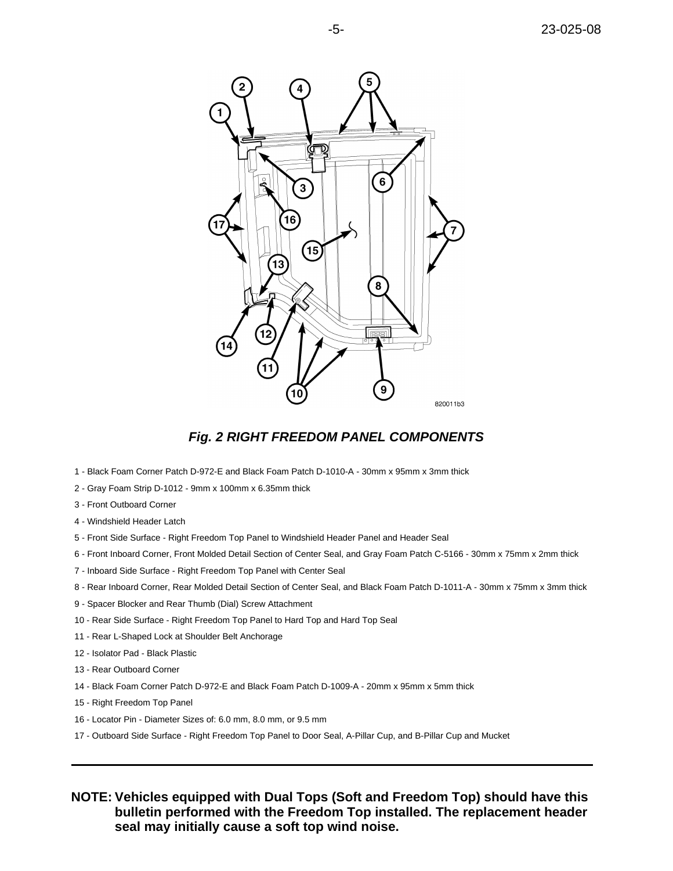<span id="page-4-0"></span>

### **Fig. 2 RIGHT FREEDOM PANEL COMPONENTS**

- 1 Black Foam Corner Patch D-972-E and Black Foam Patch D-1010-A 30mm x 95mm x 3mm thick
- 2 Gray Foam Strip D-1012 9mm x 100mm x 6.35mm thick
- 3 Front Outboard Corner
- 4 Windshield Header Latch
- 5 Front Side Surface Right Freedom Top Panel to Windshield Header Panel and Header Seal
- 6 Front Inboard Corner, Front Molded Detail Section of Center Seal, and Gray Foam Patch C-5166 30mm x 75mm x 2mm thick
- 7 Inboard Side Surface Right Freedom Top Panel with Center Seal
- 8 Rear Inboard Corner, Rear Molded Detail Section of Center Seal, and Black Foam Patch D-1011-A 30mm x 75mm x 3mm thick
- 9 Spacer Blocker and Rear Thumb (Dial) Screw Attachment
- 10 Rear Side Surface Right Freedom Top Panel to Hard Top and Hard Top Seal
- 11 Rear L-Shaped Lock at Shoulder Belt Anchorage
- 12 Isolator Pad Black Plastic
- 13 Rear Outboard Corner
- 14 Black Foam Corner Patch D-972-E and Black Foam Patch D-1009-A 20mm x 95mm x 5mm thick
- 15 Right Freedom Top Panel
- 16 Locator Pin Diameter Sizes of: 6.0 mm, 8.0 mm, or 9.5 mm
- 17 Outboard Side Surface Right Freedom Top Panel to Door Seal, A-Pillar Cup, and B-Pillar Cup and Mucket

**NOTE: Vehicles equipped with Dual Tops (Soft and Freedom Top) should have this bulletin performed with the Freedom Top installed. The replacement header seal may initially cause a soft top wind noise.**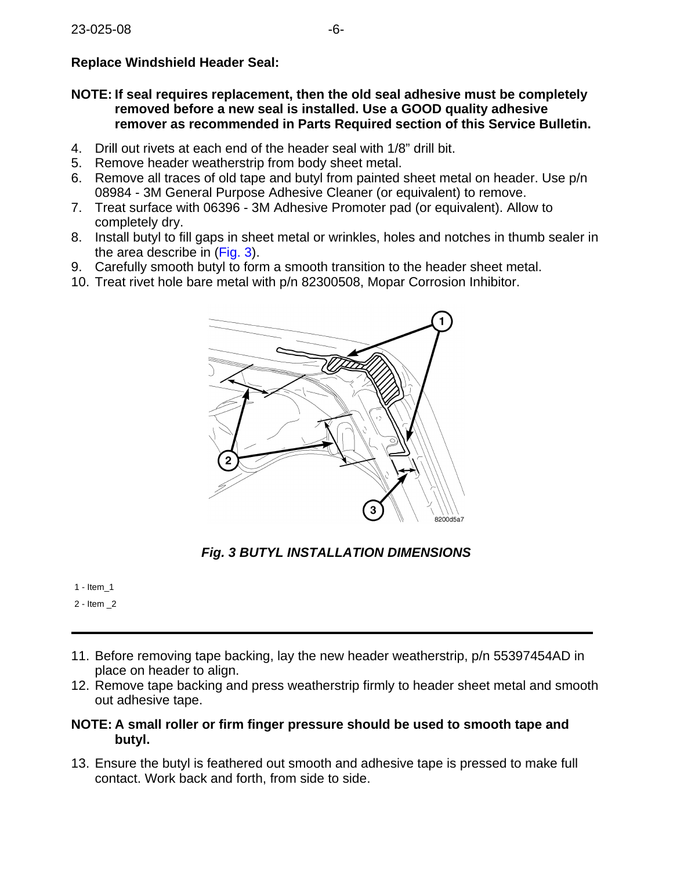# **Replace Windshield Header Seal:**

### **NOTE: If seal requires replacement, then the old seal adhesive must be completely removed before a new seal is installed. Use a GOOD quality adhesive remover as recommended in Parts Required section of this Service Bulletin.**

- 4. Drill out rivets at each end of the header seal with 1/8" drill bit.
- 5. Remove header weatherstrip from body sheet metal.
- 6. Remove all traces of old tape and butyl from painted sheet metal on header. Use p/n 08984 - 3M General Purpose Adhesive Cleaner (or equivalent) to remove.
- 7. Treat surface with 06396 3M Adhesive Promoter pad (or equivalent). Allow to completely dry.
- 8. Install butyl to fill gaps in sheet metal or wrinkles, holes and notches in thumb sealer in the area describe in [\(Fig. 3](#page-5-0)).
- 9. Carefully smooth butyl to form a smooth transition to the header sheet metal.
- <span id="page-5-0"></span>10. Treat rivet hole bare metal with p/n 82300508, Mopar Corrosion Inhibitor.



**Fig. 3 BUTYL INSTALLATION DIMENSIONS**

1 - Item\_1

2 - Item \_2

- 11. Before removing tape backing, lay the new header weatherstrip, p/n 55397454AD in place on header to align.
- 12. Remove tape backing and press weatherstrip firmly to header sheet metal and smooth out adhesive tape.

## **NOTE: A small roller or firm finger pressure should be used to smooth tape and butyl.**

13. Ensure the butyl is feathered out smooth and adhesive tape is pressed to make full contact. Work back and forth, from side to side.